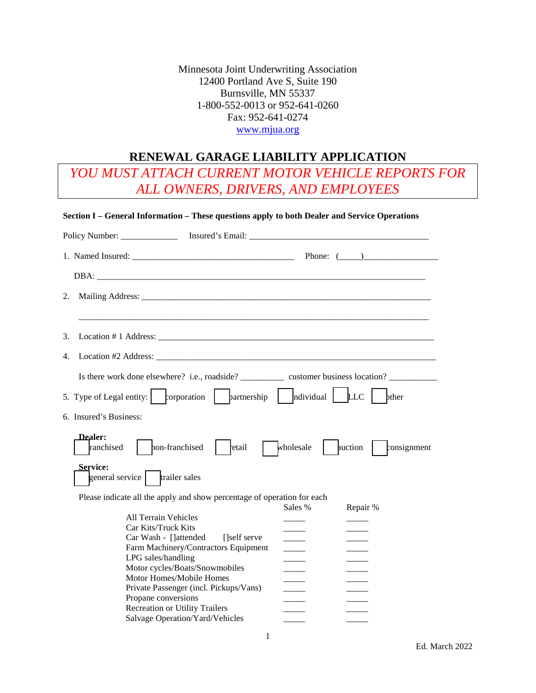Minnesota Joint Underwriting Association 12400 Portland Ave S, Suite 190 Burnsville, MN 55337 1-800-552-0013 or 952-641-0260 Fax: 952-641-0274 [www.mjua.org](http://www.mjua.org/)

# **RENEWAL GARAGE LIABILITY APPLICATION**

*YOU MUST ATTACH CURRENT MOTOR VEHICLE REPORTS FOR ALL OWNERS, DRIVERS, AND EMPLOYEES*

|                        | Section I – General Information – These questions apply to both Dealer and Service Operations  |
|------------------------|------------------------------------------------------------------------------------------------|
|                        |                                                                                                |
|                        |                                                                                                |
|                        |                                                                                                |
| 2.                     |                                                                                                |
| 3.                     |                                                                                                |
| 4.                     |                                                                                                |
|                        | Is there work done elsewhere? i.e., roadside? customer business location?                      |
|                        | bther                                                                                          |
| 6. Insured's Business: |                                                                                                |
| Dealer:<br>ranchised   | hon-franchised<br>wholesale<br>auction<br>consignment<br>etail                                 |
| <b>Service:</b>        | general service   trailer sales                                                                |
|                        | Please indicate all the apply and show percentage of operation for each<br>Sales %<br>Repair % |
|                        | <b>All Terrain Vehicles</b>                                                                    |
|                        | Car Kits/Truck Kits                                                                            |
|                        | Car Wash - []attended<br>[self serve]<br>Farm Machinery/Contractors Equipment                  |
|                        | LPG sales/handling                                                                             |
|                        | Motor cycles/Boats/Snowmobiles                                                                 |
|                        | Motor Homes/Mobile Homes                                                                       |
|                        | Private Passenger (incl. Pickups/Vans)                                                         |
|                        | Propane conversions                                                                            |
|                        | <b>Recreation or Utility Trailers</b>                                                          |
|                        | Salvage Operation/Yard/Vehicles                                                                |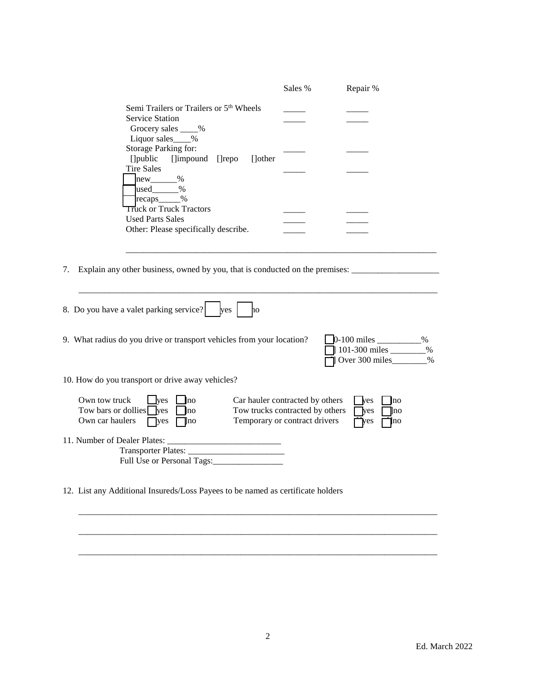|                                                                                                                                                                                                                                        | Sales % | Repair %                                                              |
|----------------------------------------------------------------------------------------------------------------------------------------------------------------------------------------------------------------------------------------|---------|-----------------------------------------------------------------------|
| Semi Trailers or Trailers or 5 <sup>th</sup> Wheels<br><b>Service Station</b><br>Grocery sales ____%                                                                                                                                   |         |                                                                       |
| Liquor sales %<br>Storage Parking for:<br>[] public [] impound [] repo<br>[]other<br><b>Tire Sales</b><br>$new$ <sub>_________</sub> %                                                                                                 |         |                                                                       |
| $used$ %<br>recaps <sub>______</sub> %<br><b>Truck or Truck Tractors</b><br><b>Used Parts Sales</b>                                                                                                                                    |         |                                                                       |
| Other: Please specifically describe.                                                                                                                                                                                                   |         |                                                                       |
| 7. Explain any other business, owned by you, that is conducted on the premises: ____________________                                                                                                                                   |         |                                                                       |
| 8. Do you have a valet parking service?<br>yes<br>ho                                                                                                                                                                                   |         |                                                                       |
| 9. What radius do you drive or transport vehicles from your location?                                                                                                                                                                  |         | %<br>101-300 miles<br>$\%$<br>Over 300 miles<br>$\%$                  |
| 10. How do you transport or drive away vehicles?                                                                                                                                                                                       |         |                                                                       |
| Own tow truck<br>Car hauler contracted by others<br>yes<br> no <br>Tow bars or dollies $\sqrt{\ }$ yes<br>Tow trucks contracted by others<br><b>no</b><br>Temporary or contract drivers<br>Own car haulers<br>$\Box$ yes<br>$\Box$ lno |         | yes<br> no <br>$\exists$ yes<br>∥no<br>$\mathbf{\tilde{y}}$ es<br>]no |
| 11. Number of Dealer Plates:<br>Full Use or Personal Tags:                                                                                                                                                                             |         |                                                                       |
| 12. List any Additional Insureds/Loss Payees to be named as certificate holders                                                                                                                                                        |         |                                                                       |
|                                                                                                                                                                                                                                        |         |                                                                       |

\_\_\_\_\_\_\_\_\_\_\_\_\_\_\_\_\_\_\_\_\_\_\_\_\_\_\_\_\_\_\_\_\_\_\_\_\_\_\_\_\_\_\_\_\_\_\_\_\_\_\_\_\_\_\_\_\_\_\_\_\_\_\_\_\_\_\_\_\_\_\_\_\_\_\_\_\_\_\_\_\_\_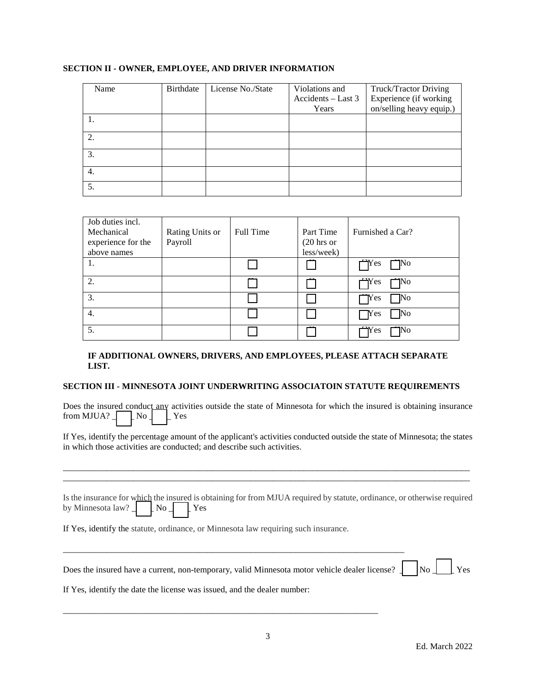| Name | Birthdate | License No./State | Violations and     | Truck/Tractor Driving    |
|------|-----------|-------------------|--------------------|--------------------------|
|      |           |                   | Accidents - Last 3 | Experience (if working   |
|      |           |                   | Years              | on/selling heavy equip.) |
|      |           |                   |                    |                          |
| 2.   |           |                   |                    |                          |
| 3.   |           |                   |                    |                          |
| 4.   |           |                   |                    |                          |
| 5.   |           |                   |                    |                          |

## **SECTION II - OWNER, EMPLOYEE, AND DRIVER INFORMATION**

| Job duties incl.   |                 |                  |                       |                         |
|--------------------|-----------------|------------------|-----------------------|-------------------------|
| Mechanical         | Rating Units or | <b>Full Time</b> | Part Time             | Furnished a Car?        |
| experience for the | Payroll         |                  | $(20 \text{ hrs or})$ |                         |
| above names        |                 |                  | less/week)            |                         |
| 1.                 |                 |                  |                       | $\Box$ Yes<br>$\Box$ No |
| 2.                 |                 |                  |                       | $\Box$ Yes<br>$\Box$ No |
| 3.                 |                 |                  |                       | $\Box$ Yes<br>$\neg$ No |
| 4.                 |                 |                  |                       | $\Box$ Yes<br>$\rm No$  |
| 5.                 |                 |                  |                       | $\bigcap$ Yes<br>1No    |

# **IF ADDITIONAL OWNERS, DRIVERS, AND EMPLOYEES, PLEASE ATTACH SEPARATE LIST.**

#### **SECTION III - MINNESOTA JOINT UNDERWRITING ASSOCIATOIN STATUTE REQUIREMENTS**

Does the insured conduct any activities outside the state of Minnesota for which the insured is obtaining insurance from MJUA?  $\Box$  No  $\Box$  Yes

If Yes, identify the percentage amount of the applicant's activities conducted outside the state of Minnesota; the states in which those activities are conducted; and describe such activities.

\_\_\_\_\_\_\_\_\_\_\_\_\_\_\_\_\_\_\_\_\_\_\_\_\_\_\_\_\_\_\_\_\_\_\_\_\_\_\_\_\_\_\_\_\_\_\_\_\_\_\_\_\_\_\_\_\_\_\_\_\_\_\_\_\_\_\_\_\_\_\_\_\_\_\_\_\_\_\_\_\_\_\_\_\_\_\_\_\_\_\_\_\_ \_\_\_\_\_\_\_\_\_\_\_\_\_\_\_\_\_\_\_\_\_\_\_\_\_\_\_\_\_\_\_\_\_\_\_\_\_\_\_\_\_\_\_\_\_\_\_\_\_\_\_\_\_\_\_\_\_\_\_\_\_\_\_\_\_\_\_\_\_\_\_\_\_\_\_\_\_\_\_\_\_\_\_\_\_\_\_\_\_\_\_\_\_

|                                        | Is the insurance for which the insured is obtaining for from MJUA required by statute, ordinance, or otherwise required |
|----------------------------------------|-------------------------------------------------------------------------------------------------------------------------|
| by Minnesota law? $\Box$ No $\Box$ Yes |                                                                                                                         |

If Yes, identify the statute, ordinance, or Minnesota law requiring such insurance.

\_\_\_\_\_\_\_\_\_\_\_\_\_\_\_\_\_\_\_\_\_\_\_\_\_\_\_\_\_\_\_\_\_\_\_\_\_\_\_\_\_\_\_\_\_\_\_\_\_\_\_\_\_\_\_\_\_\_\_\_\_\_\_\_\_\_\_\_\_\_\_\_\_\_\_\_\_\_

\_\_\_\_\_\_\_\_\_\_\_\_\_\_\_\_\_\_\_\_\_\_\_\_\_\_\_\_\_\_\_\_\_\_\_\_\_\_\_\_\_\_\_\_\_\_\_\_\_\_\_\_\_\_\_\_\_\_\_\_\_\_\_\_\_\_\_\_\_\_\_\_

| Does the insured have a current, non-temporary, valid Minnesota motor vehicle dealer license? $\Box$ No $\Box$ Yes |  |
|--------------------------------------------------------------------------------------------------------------------|--|
|                                                                                                                    |  |

If Yes, identify the date the license was issued, and the dealer number: